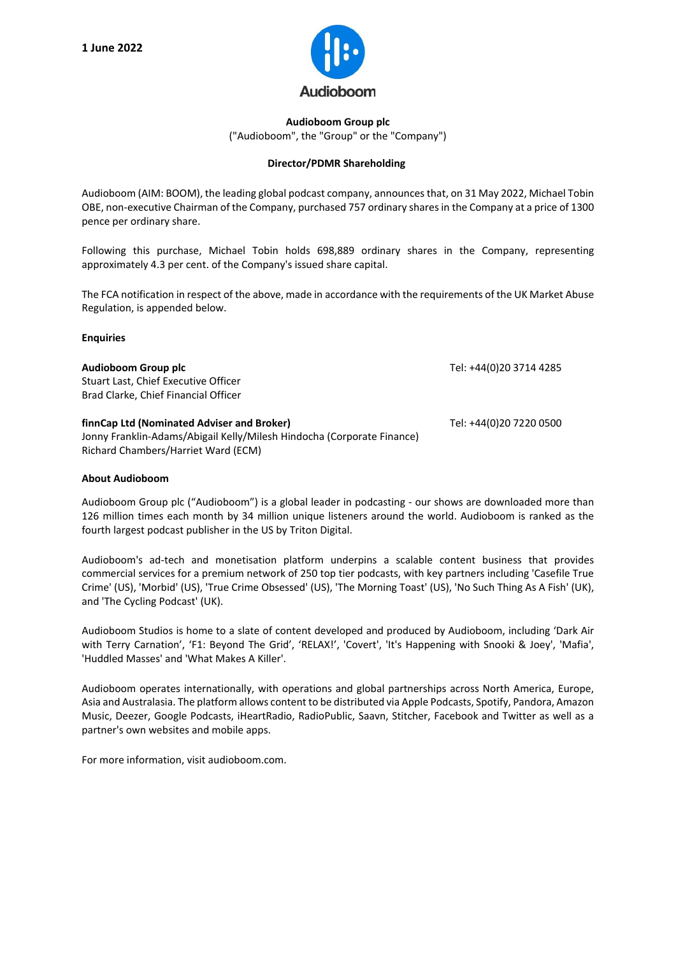

**Audioboom Group plc** ("Audioboom", the "Group" or the "Company")

## **Director/PDMR Shareholding**

Audioboom (AIM: BOOM), the leading global podcast company, announces that, on 31 May 2022, Michael Tobin OBE, non-executive Chairman of the Company, purchased 757 ordinary shares in the Company at a price of 1300 pence per ordinary share.

Following this purchase, Michael Tobin holds 698,889 ordinary shares in the Company, representing approximately 4.3 per cent. of the Company's issued share capital.

The FCA notification in respect of the above, made in accordance with the requirements of the UK Market Abuse Regulation, is appended below.

## **Enquiries**

| Audioboom Group plc<br>Stuart Last, Chief Executive Officer<br>Brad Clarke, Chief Financial Officer                                                         | Tel: +44(0)20 3714 4285 |
|-------------------------------------------------------------------------------------------------------------------------------------------------------------|-------------------------|
| finnCap Ltd (Nominated Adviser and Broker)<br>Jonny Franklin-Adams/Abigail Kelly/Milesh Hindocha (Corporate Finance)<br>Richard Chambers/Harriet Ward (ECM) | Tel: +44(0)20 7220 0500 |

## **About Audioboom**

Audioboom Group plc ("Audioboom") is a global leader in podcasting - our shows are downloaded more than 126 million times each month by 34 million unique listeners around the world. Audioboom is ranked as the fourth largest podcast publisher in the US by Triton Digital.

Audioboom's ad-tech and monetisation platform underpins a scalable content business that provides commercial services for a premium network of 250 top tier podcasts, with key partners including 'Casefile True Crime' (US), 'Morbid' (US), 'True Crime Obsessed' (US), 'The Morning Toast' (US), 'No Such Thing As A Fish' (UK), and 'The Cycling Podcast' (UK).

Audioboom Studios is home to a slate of content developed and produced by Audioboom, including 'Dark Air with Terry Carnation', 'F1: Beyond The Grid', 'RELAX!', 'Covert', 'It's Happening with Snooki & Joey', 'Mafia', 'Huddled Masses' and 'What Makes A Killer'.

Audioboom operates internationally, with operations and global partnerships across North America, Europe, Asia and Australasia. The platform allows content to be distributed via Apple Podcasts, Spotify, Pandora, Amazon Music, Deezer, Google Podcasts, iHeartRadio, RadioPublic, Saavn, Stitcher, Facebook and Twitter as well as a partner's own websites and mobile apps.

For more information, visit audioboom.com.